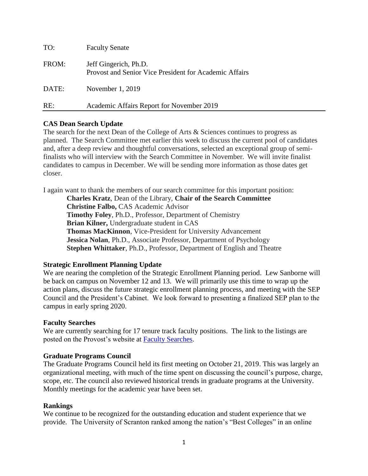| TO:   | <b>Faculty Senate</b>                                                           |
|-------|---------------------------------------------------------------------------------|
| FROM: | Jeff Gingerich, Ph.D.<br>Provost and Senior Vice President for Academic Affairs |
| DATE: | November 1, 2019                                                                |
| RE:   | Academic Affairs Report for November 2019                                       |

## **CAS Dean Search Update**

The search for the next Dean of the College of Arts & Sciences continues to progress as planned. The Search Committee met earlier this week to discuss the current pool of candidates and, after a deep review and thoughtful conversations, selected an exceptional group of semifinalists who will interview with the Search Committee in November. We will invite finalist candidates to campus in December. We will be sending more information as those dates get closer.

I again want to thank the members of our search committee for this important position:

**Charles Kratz**, Dean of the Library, **Chair of the Search Committee Christine Falbo,** CAS Academic Advisor **Timothy Foley**, Ph.D., Professor, Department of Chemistry **Brian Kilner,** Undergraduate student in CAS **Thomas MacKinnon**, Vice-President for University Advancement **Jessica Nolan**, Ph.D., Associate Professor, Department of Psychology **Stephen Whittaker**, Ph.D., Professor, Department of English and Theatre

### **Strategic Enrollment Planning Update**

We are nearing the completion of the Strategic Enrollment Planning period. Lew Sanborne will be back on campus on November 12 and 13. We will primarily use this time to wrap up the action plans, discuss the future strategic enrollment planning process, and meeting with the SEP Council and the President's Cabinet. We look forward to presenting a finalized SEP plan to the campus in early spring 2020.

### **Faculty Searches**

We are currently searching for 17 tenure track faculty positions. The link to the listings are posted on the Provost's website at [Faculty Searches.](https://universityofscrantonjobs.com/postings/search?utf8=%E2%9C%93&query=&query_v0_posted_at_date=&941%5B%5D=1&query_position_type_id%5B%5D=2&commit=Search)

### **Graduate Programs Council**

The Graduate Programs Council held its first meeting on October 21, 2019. This was largely an organizational meeting, with much of the time spent on discussing the council's purpose, charge, scope, etc. The council also reviewed historical trends in graduate programs at the University. Monthly meetings for the academic year have been set.

### **Rankings**

We continue to be recognized for the outstanding education and student experience that we provide. The University of Scranton ranked among the nation's "Best Colleges" in an online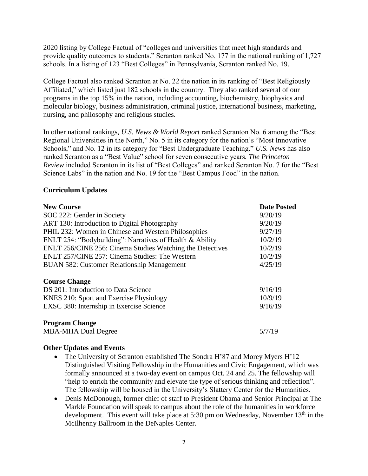2020 listing by College Factual of "colleges and universities that meet high standards and provide quality outcomes to students." Scranton ranked No. 177 in the national ranking of 1,727 schools. In a listing of 123 "Best Colleges" in Pennsylvania, Scranton ranked No. 19.

College Factual also ranked Scranton at No. 22 the nation in its ranking of "Best Religiously Affiliated," which listed just 182 schools in the country. They also ranked several of our programs in the top 15% in the nation, including accounting, biochemistry, biophysics and molecular biology, business administration, criminal justice, international business, marketing, nursing, and philosophy and religious studies.

In other national rankings, *U.S. News & World [Report](https://news.scranton.edu/articles/2019/09/news-usnews-2020.shtml)* ranked Scranton No. 6 among the "Best Regional Universities in the North," No. 5 in its category for the nation's "Most Innovative Schools," and No. 12 in its category for "Best Undergraduate Teaching." *U.S. News* has also ranked Scranton as a "Best Value" school for seven consecutive years*. The [Princeton](https://news.scranton.edu/articles/2019/08/news-princetonreview-aug-2019.shtml) [Review](https://news.scranton.edu/articles/2019/08/news-princetonreview-aug-2019.shtml)* included Scranton in its list of "Best Colleges" and ranked Scranton No. 7 for the "Best Science Labs" in the nation and No. 19 for the "Best Campus Food" in the nation.

# **Curriculum Updates**

| <b>New Course</b>                                         | <b>Date Posted</b> |
|-----------------------------------------------------------|--------------------|
| SOC 222: Gender in Society                                | 9/20/19            |
| ART 130: Introduction to Digital Photography              | 9/20/19            |
| PHIL 232: Women in Chinese and Western Philosophies       | 9/27/19            |
| ENLT 254: "Bodybuilding": Narratives of Health & Ability  | 10/2/19            |
| ENLT 256/CINE 256: Cinema Studies Watching the Detectives | 10/2/19            |
| ENLT 257/CINE 257: Cinema Studies: The Western            | 10/2/19            |
| <b>BUAN 582: Customer Relationship Management</b>         | 4/25/19            |
| <b>Course Change</b>                                      |                    |
| DS 201: Introduction to Data Science                      | 9/16/19            |
| KNES 210: Sport and Exercise Physiology                   | 10/9/19            |
| EXSC 380: Internship in Exercise Science                  | 9/16/19            |
| <b>Program Change</b>                                     |                    |
| <b>MBA-MHA Dual Degree</b>                                | 5/7/19             |

### **Other Updates and Events**

- The University of Scranton established The [Sondra](https://news.scranton.edu/articles/2019/10/news-myers-initiative-launch-19.shtml) H'87 and Morey Myers H'12 [Distinguished](https://news.scranton.edu/articles/2019/10/news-myers-initiative-launch-19.shtml) Visiting Fellowship in the Humanities and Civic Engagement, which was formally announced at a two-day [event](https://news.scranton.edu/articles/2019/10/news-myers-initiative-launch-events.shtml) on campus Oct. 24 and 25. The fellowship will "help to enrich the community and elevate the type of serious thinking and reflection". The fellowship will be housed in the University's Slattery Center for the Humanities.
- Denis McDonough, former chief of staff to President Obama and Senior Principal at The Markle Foundation will speak to campus about the role of the humanities in workforce development. This event will take place at 5:30 pm on Wednesday, November  $13<sup>th</sup>$  in the McIlhenny Ballroom in the DeNaples Center.